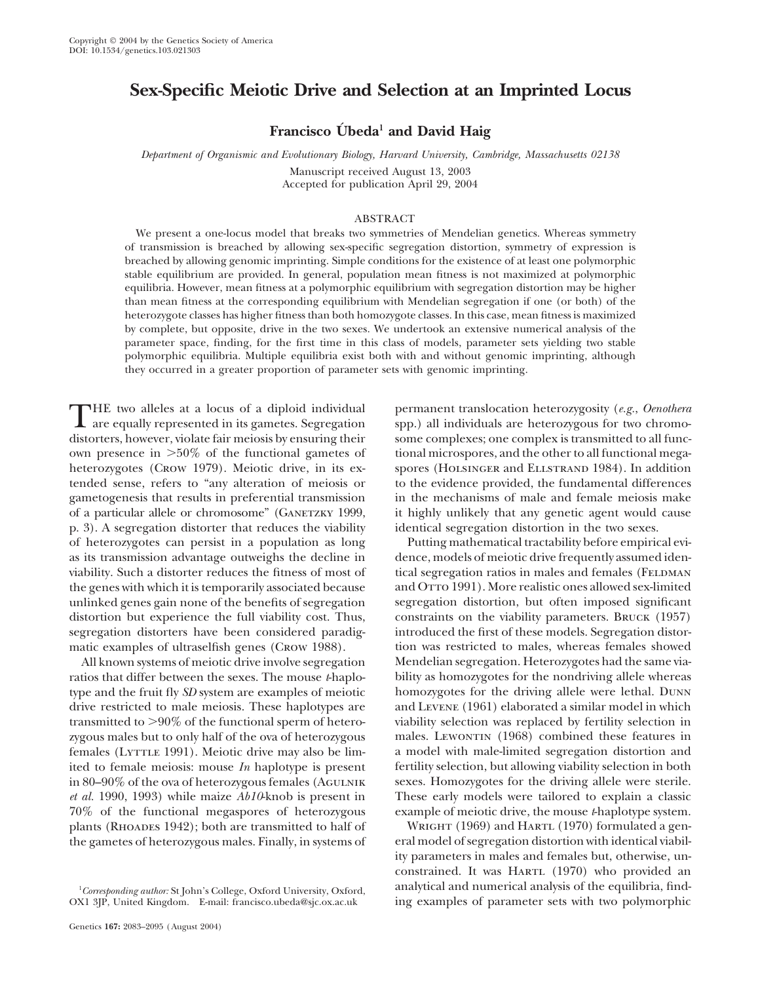# **Sex-Specific Meiotic Drive and Selection at an Imprinted Locus**

Francisco **Ubeda<sup>1</sup>** and David Haig

*Department of Organismic and Evolutionary Biology, Harvard University, Cambridge, Massachusetts 02138*

Manuscript received August 13, 2003 Accepted for publication April 29, 2004

### ABSTRACT

We present a one-locus model that breaks two symmetries of Mendelian genetics. Whereas symmetry of transmission is breached by allowing sex-specific segregation distortion, symmetry of expression is breached by allowing genomic imprinting. Simple conditions for the existence of at least one polymorphic stable equilibrium are provided. In general, population mean fitness is not maximized at polymorphic equilibria. However, mean fitness at a polymorphic equilibrium with segregation distortion may be higher than mean fitness at the corresponding equilibrium with Mendelian segregation if one (or both) of the heterozygote classes has higher fitness than both homozygote classes. In this case, mean fitness is maximized by complete, but opposite, drive in the two sexes. We undertook an extensive numerical analysis of the parameter space, finding, for the first time in this class of models, parameter sets yielding two stable polymorphic equilibria. Multiple equilibria exist both with and without genomic imprinting, although they occurred in a greater proportion of parameter sets with genomic imprinting.

THE two alleles at a locus of a diploid individual permanent translocation heterozygosity (e.g., Oenothera<br>are equally represented in its gametes. Segregation spp.) all individuals are heterozygous for two chromo-<br>distant distorters, however, violate fair meiosis by ensuring their some complexes; one complex is transmitted to all funcown presence in  $>50\%$  of the functional gametes of tional microspores, and the other to all functional megaheterozygotes (Crow 1979). Meiotic drive, in its ex- spores (HOLSINGER and ELLSTRAND 1984). In addition tended sense, refers to "any alteration of meiosis or to the evidence provided, the fundamental differences gametogenesis that results in preferential transmission in the mechanisms of male and female meiosis make of a particular allele or chromosome" (Ganetzky 1999, it highly unlikely that any genetic agent would cause p. 3). A segregation distorter that reduces the viability identical segregation distortion in the two sexes. of heterozygotes can persist in a population as long Putting mathematical tractability before empirical evias its transmission advantage outweighs the decline in dence, models of meiotic drive frequently assumed idenviability. Such a distorter reduces the fitness of most of tical segregation ratios in males and females (FELDMAN the genes with which it is temporarily associated because and Otro 1991). More realistic ones allowed sex-limited unlinked genes gain none of the benefits of segregation segregation distortion, but often imposed significant distortion but experience the full viability cost. Thus, constraints on the viability parameters. Bruck (1957) segregation distorters have been considered paradig- introduced the first of these models. Segregation distormatic examples of ultraselfish genes (Crow 1988). tion was restricted to males, whereas females showed

ratios that differ between the sexes. The mouse *t*-haplo- bility as homozygotes for the nondriving allele whereas type and the fruit fly *SD* system are examples of meiotic homozygotes for the driving allele were lethal. DUNN drive restricted to male meiosis. These haplotypes are and LEVENE (1961) elaborated a similar model in which transmitted to 90% of the functional sperm of hetero- viability selection was replaced by fertility selection in zygous males but to only half of the ova of heterozygous males. LEWONTIN (1968) combined these features in females (LYTTLE 1991). Meiotic drive may also be lim- a model with male-limited segregation distortion and ited to female meiosis: mouse *In* haplotype is present fertility selection, but allowing viability selection in both in 80–90% of the ova of heterozygous females (AGULNIK sexes. Homozygotes for the driving allele were sterile. *et al.* 1990, 1993) while maize *Ab10*-knob is present in These early models were tailored to explain a classic 70% of the functional megaspores of heterozygous example of meiotic drive, the mouse *t*-haplotype system. plants (RHOADES 1942); both are transmitted to half of WRIGHT (1969) and HARTL (1970) formulated a genthe gametes of heterozygous males. Finally, in systems of eral model of segregation distortion with identical viabil-

All known systems of meiotic drive involve segregation Mendelian segregation. Heterozygotes had the same via-

ity parameters in males and females but, otherwise, unconstrained. It was HARTL (1970) who provided an <sup>1</sup>Corresponding author: St John's College, Oxford University, Oxford, analytical and numerical analysis of the equilibria, find-<br>X1 3JP, United Kingdom. E-mail: francisco.ubeda@sjc.ox.ac.uk ing examples of parameter sets

OX1 3JP, United Kingdom. E-mail: francisco.ubeda@sjc.ox.ac.uk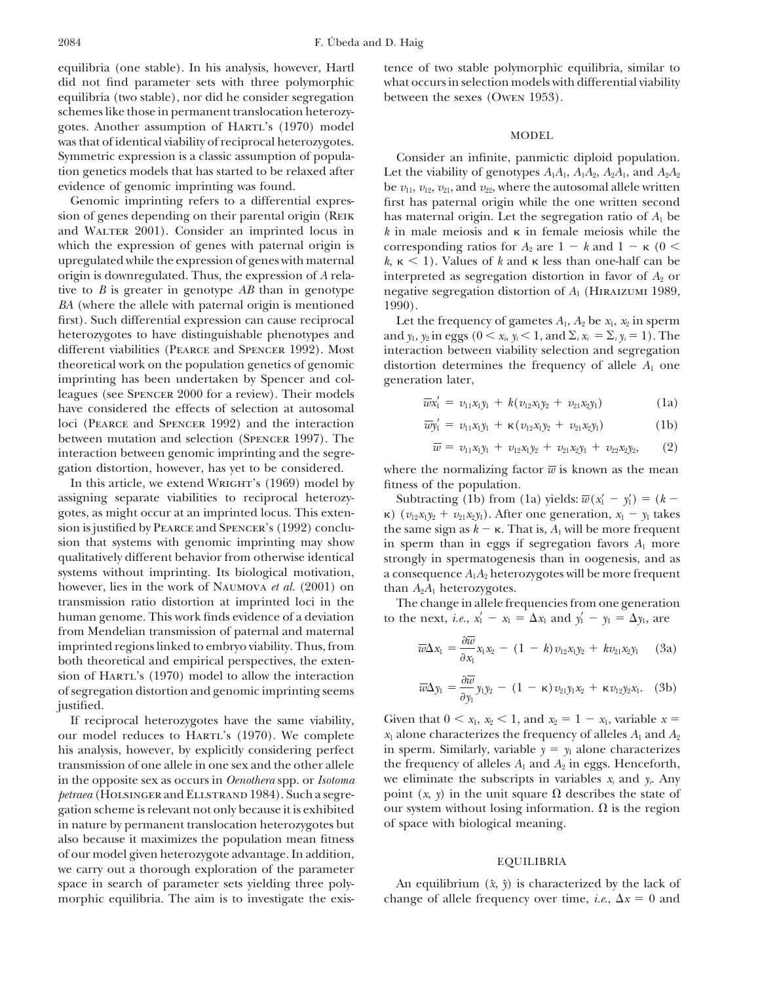equilibria (one stable). In his analysis, however, Hartl tence of two stable polymorphic equilibria, similar to equilibria (two stable), nor did he consider segregation between the sexes (Owen 1953). schemes like those in permanent translocation heterozygotes. Another assumption of Hartl's (1970) model MODEL was that of identical viability of reciprocal heterozygotes. Symmetric expression is a classic assumption of popula- Consider an infinite, panmictic diploid population. tion genetics models that has started to be relaxed after Let the viability of genotypes  $A_1A_1$ ,  $A_1A_2$ ,  $A_2A_1$ , and  $A_2A_2$  evidence of genomic imprinting was found. be  $v_{11}$ ,  $v_{12}$ ,  $v_{21}$ , and  $v_{22}$ , wher

sion of genes depending on their parental origin (REIK has maternal origin. Let the segregation ratio of  $A_1$  be and WALTER 2001). Consider an imprinted locus in which the expression of genes with paternal origin is corresponding ratios for  $A_2$  are  $1 - k$  and  $1 - \kappa$  (0  $<$ upregulated while the expression of genes with maternal origin is downregulated. Thus, the expression of A relative to *B* is greater in genotype *AB* than in genotype negative segregation distortion of  $A_1$  (HIRAIZUMI 1989, *BA* (where the allele with paternal origin is mentioned 1990). first). Such differential expression can cause reciprocal Let the frequency of gametes *A*1, *A*<sup>2</sup> be *x*1, *x*<sup>2</sup> in sperm heterozygotes to have distinguishable phenotypes and and  $y_1$ ,  $y_2$  in eggs ( $0 \le x_i$ ,  $y_i \le 1$ , and  $\Sigma_i x_i = \Sigma_i y_i = 1$ ). The different viabilities (PEARCE and SPENCER 1992). Most interaction between viability selection an theoretical work on the population genetics of genomic distortion determines the frequency of allele  $A_1$  one imprinting has been undertaken by Spencer and col- generation later, leagues (see SPENCER 2000 for a review). Their models  $\frac{1}{a}$ have considered the effects of selection at autosomal loci (PEARCE and SPENCER 1992) and the interaction between mutation and selection (SPENCER 1997). The interaction between genomic imprinting and the segre-

In this article, we extend WRIGHT's (1969) model by fitness of the population. assigning separate viabilities to reciprocal heterozygotes, as might occur at an imprinted locus. This extension is justified by PEARCE and SPENCER's (1992) conclusion that systems with genomic imprinting may show sion that systems with genomic imprinting may show in sperm than in eggs if segregation favors  $A_1$  more qualitatively different behavior from otherwise identical strongly in spermatogenesis than in oogenesis, and as systems without imprinting. Its biological motivation, a consequence  $A_1A_2$  heterozygotes will be more frequent however, lies in the work of NAUMOVA *et al.* (2001) on than  $A_2A_1$  heterozygotes.<br>transmission ratio distortion at imprinted loci in the The change in allele fre human genome. This work finds evidence of a deviation from Mendelian transmission of paternal and maternal imprinted regions linked to embryo viability. Thus, from both theoretical and empirical perspectives, the extension of Hartl's (1970) model to allow the interaction  $\overline{w}\Delta y_1 = \frac{\partial \overline{w}}{\partial x} y_1 y_2 - (1 - \kappa) v_{21} y_1 x_2 + \kappa v_{12} y_2 x_1$ . (3b) justified.

our model reduces to HARTL's (1970). We complete  $x_1$  alone characterizes the frequency of alleles  $A_1$  and  $A_2$ his analysis, however, by explicitly considering perfect in sperm. Similarly, variable  $y = y_1$  alone characterizes transmission of one allele in one sex and the other allele the frequency of alleles  $A_1$  and  $A_2$  in eggs. Henceforth, in the opposite sex as occurs in *Oenothera* spp. or *Isotoma* we eliminate the subscripts in variables  $x_i$  and  $y_i$ . Any *petraea* (HOLSINGER and ELLSTRAND 1984). Such a segre- point  $(x, y)$  in the unit square  $\Omega$  describes the state of gation scheme is relevant not only because it is exhibited our system without losing information.  $\Omega$  is the region in nature by permanent translocation heterozygotes but of space with biological meaning. also because it maximizes the population mean fitness of our model given heterozygote advantage. In addition, EQUILIBRIA we carry out a thorough exploration of the parameter space in search of parameter sets yielding three poly- An equilibrium  $(\hat{x}, \hat{y})$  is characterized by the lack of

did not find parameter sets with three polymorphic what occurs in selection models with differential viability

idence of genomic imprinting was found. be  $v_{11}$ ,  $v_{12}$ ,  $v_{21}$ , and  $v_{22}$ , where the autosomal allele written<br>Genomic imprinting refers to a differential expres-<br>first has paternal origin while the one written sec first has paternal origin while the one written second  $k$  in male meiosis and  $\kappa$  in female meiosis while the  $\leq$  1). Values of *k* and  $\kappa$  less than one-half can be interpreted as segregation distortion in favor of  $A_2$  or

interaction between viability selection and segregation

$$
\overline{w}x_1' = v_{11}x_1y_1 + k(v_{12}x_1y_2 + v_{21}x_2y_1)
$$
 (1a)

$$
\overline{w}y_1' = v_{11}x_1y_1 + \kappa(v_{12}x_1y_2 + v_{21}x_2y_1)
$$
 (1b)

$$
\overline{w} = v_{11}x_1y_1 + v_{12}x_1y_2 + v_{21}x_2y_1 + v_{22}x_2y_2, \qquad (2)
$$

gation distortion, however, has yet to be considered. where the normalizing factor  $\bar{w}$  is known as the mean

 $y'_1 - y'_1$ ) = (k –  $\kappa$ ) ( $v_{12}x_1y_2 + v_{21}x_2y_1$ ). After one generation,  $x_1 - y_1$  takes the same sign as  $k - \kappa$ . That is,  $A_1$  will be more frequent strongly in spermatogenesis than in oogenesis, and as

The change in allele frequencies from one generation  $x'_1 - x_1 = \Delta x_1$  and  $y'_1 - y_1 = \Delta y_1$ , are

$$
\overline{w}\Delta x_1 = \frac{\partial \overline{w}}{\partial x_1} x_1 x_2 - (1 - k) v_{12} x_1 y_2 + k v_{21} x_2 y_1 \qquad (3a)
$$

$$
\overline{w}\Delta y_1 = \frac{\partial \overline{w}}{\partial y_1} y_1 y_2 - (1 - \kappa) v_{21} y_1 x_2 + \kappa v_{12} y_2 x_1. \quad (3b)
$$

If reciprocal heterozygotes have the same viability, Given that  $0 \lt x_1$ ,  $x_2 \lt 1$ , and  $x_2 = 1 - x_1$ , variable  $x =$ 

morphic equilibria. The aim is to investigate the exis-<br>change of allele frequency over time, *i.e.*,  $\Delta x = 0$  and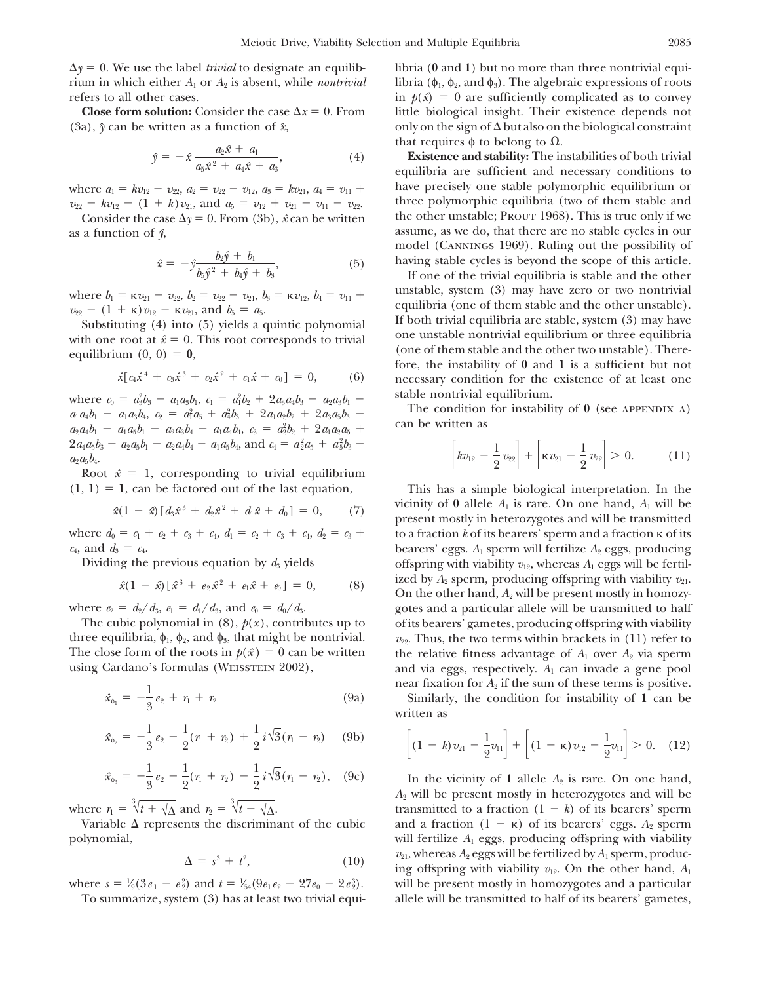$\Delta y = 0$ . We use the label *trivial* to designate an equilib- libria (0 and 1) but no more than three nontrivial equirium in which either *A*<sub>1</sub> or *A*<sub>2</sub> is absent, while *nontrivial* libria (φ<sub>1</sub>, φ<sub>2</sub>, and φ<sub>3</sub>). The algebraic expressions of roots refers to all other cases. in  $p(\hat{x}) = 0$  are sufficiently complicated as to convey

$$
\hat{y} = -\hat{x} \frac{a_2 \hat{x} + a_1}{a_5 \hat{x}^2 + a_4 \hat{x} + a_3},\tag{4}
$$

Consider the case  $\Delta y = 0$ . From (3b),  $\hat{x}$  can be written

$$
\hat{x} = -\hat{y} \frac{b_2 \hat{y} + b_1}{b_5 \hat{y}^2 + b_4 \hat{y} + b_5},\tag{5}
$$

 $v_{22} - (1 + \kappa)v_{12} - \kappa v_{21}$ , and  $b_5 = a_5$ .

$$
\hat{x}[c_4\hat{x}^4 + c_3\hat{x}^3 + c_2\hat{x}^2 + c_1\hat{x} + c_0] = 0, \qquad (6)
$$

where  $c_0 = a_3^2b_3 - a_1a_3b_1$ ,  $c_1 = a_1^2b_2 + 2a_3a_4b_3 - a_2a_3b_1 -$  stable nontrivial equilibrium. where  $c_0 = a_3^2b_3 - a_1a_3b_1$ ,  $c_1 = a_1^2b_2 + 2a_3a_4b_3 - a_2a_3b_1 - a_1a_4b_1 - a_1a_3b_4$ ,  $c_2 = a_1^2a_5 + a_4^2b_3 + 2a_1a_2b_2 + 2a_3a_5b_3 - a_1a_4b_1 - a_1a_3b_4$ ,  $c_2 = a_1^2a_5 + a_4^2b_3 + 2a_1a_2b_2 + 2a_3a_5b_3 - a_1a_3b_4$ .  $a_1a_4b_1 - a_1a_3b_4$ ,  $c_2 = a_1^2a_5 + a_4^2b_3 + 2a_1a_2b_2 + 2a_3a_5b_3 -$ <br>  $a_2a_4b_1 - a_1a_5b_1 - a_2a_3b_4 - a_1a_4b_4$ ,  $c_3 = a_2^2b_2 + 2a_1a_2a_5 +$  can be written as  $2a_4a_5b_3 - a_2a_5b_1 - a_2a_4b_4 - a_1a_5b_4$ , and  $c_4 = a_2^2a_5 + a_5^2b_3 - a_1a_5b_4$ 

 $(1, 1) = 1$ , can be factored out of the last equation, This has a simple biological interpretation. In the

$$
\hat{x}(1 - \hat{x})[d_3\hat{x}^3 + d_2\hat{x}^2 + d_1\hat{x} + d_0] = 0, \qquad (7)
$$

where  $d_0 = c_1 + c_2 + c_3 + c_4$ ,  $d_1 = c_2 + c_3 + c_4$ ,  $d_2 = c_3 + c_5$ 

$$
\hat{x}(1 - \hat{x})\left[\hat{x}^3 + e_2\hat{x}^2 + e_1\hat{x} + e_0\right] = 0, \quad (8)
$$

$$
\hat{x}_{\phi_1} = -\frac{1}{3}e_2 + r_1 + r_2 \tag{9a}
$$

$$
\hat{x}_{\phi_2} = -\frac{1}{3}e_2 - \frac{1}{2}(r_1 + r_2) + \frac{1}{2}i\sqrt{3}(r_1 - r_2)
$$
 (9b)

$$
\hat{x}_{\phi_3} = -\frac{1}{3} \, e_2 - \frac{1}{2} (\eta_1 + \eta_2) - \frac{1}{2} \, i \sqrt{3} (\eta_1 - \eta_2), \quad (9c)
$$

Variable  $\Delta$  represents the discriminant of the cubic

$$
\Delta = s^3 + t^2, \tag{10}
$$

**∕ ∕** 

**Close form solution:** Consider the case  $\Delta x = 0$ . From little biological insight. Their existence depends not (3a),  $\hat{y}$  can be written as a function of  $\hat{x}$ , only on the sign of  $\Delta$  but also on the biological constraint that requires  $\phi$  to belong to  $\Omega$ .

*Existence and stability:* The instabilities of both trivial equilibria are sufficient and necessary conditions to where  $a_1 = kv_{12} - v_{22}$ ,  $a_2 = v_{22} - v_{12}$ ,  $a_3 = kv_{21}$ ,  $a_4 = v_{11} + v_{12}$  have precisely one stable polymorphic equilibrium or  $v_{12} = kv_{12} - v_{12}$ , and  $a_2 = v_{13} + v_{21} - v_{13} - v_{14}$  three polymorphic equilibria (two of t  $v_{22} - kv_{12} - (1 + k)v_{21}$ , and  $a_5 = v_{12} + v_{21} - v_{11} - v_{22}$  three polymorphic equilibria (two of them stable and 20 Consider the case  $\Delta y = 0$  From (3b)  $\hat{x}$  can be written the other unstable; PROUT 1968). This is true o as a function of  $\hat{y}$ , assume, as we do, that there are no stable cycles in our *model* (CANNINGS 1969). Ruling out the possibility of  $\hat{x} = -\hat{y} - \frac{b_2 y + b_1}{2}$ , (5) having stable cycles is beyond the scope of this article.

If one of the trivial equilibria is stable and the other where  $b_1 = \kappa v_{21} - v_{22}$ ,  $b_2 = v_{22} - v_{21}$ ,  $b_3 = \kappa v_{12}$ ,  $b_4 = v_{11} + \cdots$  unstable, system (3) may have zero or two nontrivial  $e_2 - (1 + \kappa)v_{12} - \kappa v_{21}$ , and  $b_5 = a_5$ .<br>
Substituting (4) into (5) yields a quintic polynomial If both trivial equilibria are stable, system (3) may have  $v_{22} - (1 + \kappa)v_{12} - \kappa v_{21}$ , and  $b_5 = a_5$ .<br>
Substituting (4) into (5) yields a quintic polynomial<br>
with one root at  $\hat{x} = 0$ . This root corresponds to trivial<br>
equilibrium (0, 0) = **0**,<br>
equilibrium (0, 0) = **0**,<br>
foot  $x^2$  are *cessary* condition for the existence of at least one

$$
2a_4a_5b_3 - a_2a_5b_1 - a_2a_4b_4 - a_1a_5b_4
$$
, and  $c_4 = a_2^2a_5 + a_3^2b_3 - a_2a_5b_4$ .  
\nRoot  $\hat{x} = 1$ , corresponding to trivial equilibrium  
\n
$$
\begin{bmatrix} kv_{12} - \frac{1}{2}v_{22} \end{bmatrix} + \begin{bmatrix} kv_{21} - \frac{1}{2}v_{22} \end{bmatrix} > 0.
$$
 (11)

vicinity of 0 allele  $A_1$  is rare. On one hand,  $A_1$  will be present mostly in heterozygotes and will be transmitted to a fraction k of its bearers' sperm and a fraction  $\kappa$  of its *c*<sub>4</sub>, and  $d_3 = c_4$ . bearers' eggs. *A*<sub>1</sub> sperm will fertilize *A*<sub>2</sub> eggs, producing Dividing the previous equation by  $d_3$  yields offspring with viability  $v_{12}$ , whereas  $A_1$  eggs will be fertil- $\hat{x}(1 - \hat{x}) [\hat{x}^3 + e_2 \hat{x}^2 + e_1 \hat{x} + e_0] = 0,$  (8) ized by  $A_2$  sperm, producing offspring with viability  $v_{21}$ .<br>On the other hand,  $A_2$  will be present mostly in homozy-<br>where  $e_2 = d_2/d_3$ ,  $e_1 = d_1/d_3$ , and  $e_0 = d_0/d$ gotes and a particular allele will be transmitted to half The cubic polynomial in  $(8)$ ,  $p(x)$ , contributes up to of its bearers' gametes, producing offspring with viability three equilibria,  $\phi_1$ ,  $\phi_2$ , and  $\phi_3$ , that might be nontrivial. *v*<sub>22</sub>. Thus, the two terms within brackets in (11) refer to The close form of the roots in  $p(\hat{x}) = 0$  can be written the relative fitness advantage The close form of the roots in  $p(\hat{x}) = 0$  can be written the relative fitness advantage of  $A_1$  over  $A_2$  via sperm using Cardano's formulas (WEISSTEIN 2002), and via eggs, respectively. A<sub>1</sub> can invade a gene pool and via eggs, respectively.  $A_1$  can invade a gene pool near fixation for  $A_2$  if the sum of these terms is positive.

> **e** 2  $\mu$  2 (9) Similarly, the condition for instability of 1 can be written as

$$
\[ (1 - k) v_{21} - \frac{1}{2} v_{11} \] + \[ (1 - \kappa) v_{12} - \frac{1}{2} v_{11} \] > 0. \quad (12)
$$

In the vicinity of 1 allele  $A_2$  is rare. On one hand, *A*<sup>2</sup> will be present mostly in heterozygotes and will be where  $r_1 = \sqrt[3]{t + \sqrt{\Delta}}$  and  $r_2 = \sqrt[3]{t - \sqrt{\Delta}}$ . transmitted to a fraction  $(1 - k)$  of its bearers' sperm and a fraction  $(1 - \kappa)$  of its bearers' eggs.  $A_2$  sperm polynomial, will fertilize *A*<sup>1</sup> eggs, producing offspring with viability *v*<sub>21</sub>, whereas  $A_2$  eggs will be fertilized by  $A_1$  sperm, producing offspring with viability  $v_{12}$ . On the other hand,  $A_1$ where  $s = \frac{1}{3}(3e_1 - e_2^2)$  and  $t = \frac{1}{54}(9e_1e_2 - 27e_0 - 2e_2^3)$ . will be present mostly in homozygotes and a particular To summarize, system (3) has at least two trivial equi- allele will be transmitted to half of its bearers' gametes,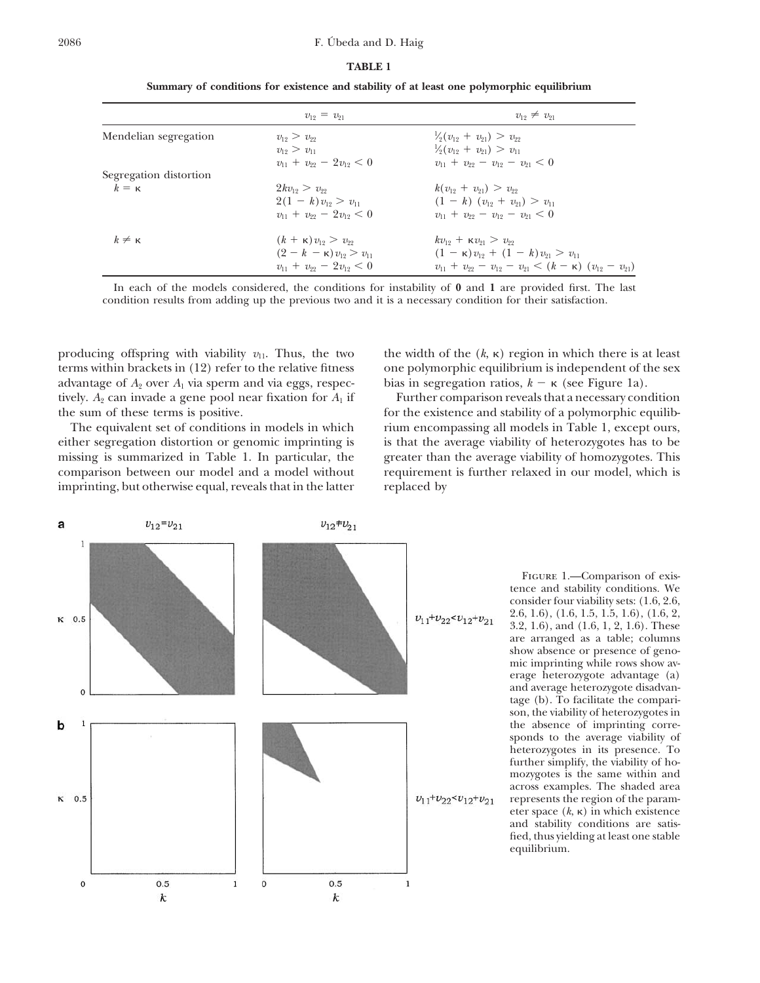# **TABLE 1**

|                        | $v_{19} = v_{91}$                 | $v_{19} \neq v_{91}$                                                   |  |  |
|------------------------|-----------------------------------|------------------------------------------------------------------------|--|--|
| Mendelian segregation  | $v_{19} > v_{99}$                 | $\frac{1}{6}(v_{12} + v_{21}) > v_{22}$                                |  |  |
|                        | $v_{19} > v_{11}$                 | $\frac{1}{2}(v_{12} + v_{21}) > v_{11}$                                |  |  |
|                        | $v_{11} + v_{22} - 2v_{12} < 0$   | $v_{11} + v_{22} - v_{12} - v_{21} \leq 0$                             |  |  |
| Segregation distortion |                                   |                                                                        |  |  |
| $k = \kappa$           | $2kv_{12} > v_{22}$               | $k(v_{19} + v_{21}) > v_{29}$                                          |  |  |
|                        | $2(1-k)v_{12} > v_{11}$           | $(1 - k)$ $(v_{19} + v_{21}) > v_{11}$                                 |  |  |
|                        | $v_{11} + v_{22} - 2v_{12} < 0$   | $v_{11} + v_{22} - v_{12} - v_{21} \leq 0$                             |  |  |
| $k \neq \kappa$        | $(k + \kappa) v_{12} > v_{22}$    | $kv_{19} + \kappa v_{21} > v_{29}$                                     |  |  |
|                        | $(2 - k - \kappa)v_{12} > v_{11}$ | $(1 - \kappa)v_{12} + (1 - k)v_{21} > v_{11}$                          |  |  |
|                        | $v_{11} + v_{22} - 2v_{12} < 0$   | $v_{11} + v_{22} - v_{12} - v_{21} \le (k - \kappa) (v_{12} - v_{21})$ |  |  |

**Summary of conditions for existence and stability of at least one polymorphic equilibrium**

In each of the models considered, the conditions for instability of **0** and **1** are provided first. The last condition results from adding up the previous two and it is a necessary condition for their satisfaction.

producing offspring with viability  $v_{11}$ . Thus, the two terms within brackets in (12) refer to the relative fitness one polymorphic equilibrium is independent of the sex advantage of  $A_2$  over  $A_1$  via sperm and via eggs, respectively.  $A_2$  can invade a gene pool near fixation for  $A_1$  if Further comparison reveals that a necessary condition the sum of these terms is positive. for the existence and stability of a polymorphic equilib-

comparison between our model and a model without requirement is further relaxed in our model, which is imprinting, but otherwise equal, reveals that in the latter replaced by

the width of the  $(k, \kappa)$  region in which there is at least bias in segregation ratios,  $k - \kappa$  (see Figure 1a).

The equivalent set of conditions in models in which rium encompassing all models in Table 1, except ours, either segregation distortion or genomic imprinting is is that the average viability of heterozygotes has to be missing is summarized in Table 1. In particular, the greater than the average viability of homozygotes. This



Figure 1.—Comparison of existence and stability conditions. We consider four viability sets: (1.6, 2.6, 2.6, 1.6), (1.6, 1.5, 1.5, 1.6), (1.6, 2, 3.2, 1.6), and (1.6, 1, 2, 1.6). These are arranged as a table; columns show absence or presence of genomic imprinting while rows show average heterozygote advantage (a) and average heterozygote disadvantage (b). To facilitate the comparison, the viability of heterozygotes in the absence of imprinting corresponds to the average viability of heterozygotes in its presence. To further simplify, the viability of homozygotes is the same within and across examples. The shaded area represents the region of the parameter space  $(k, \kappa)$  in which existence and stability conditions are satisfied, thus yielding at least one stable equilibrium.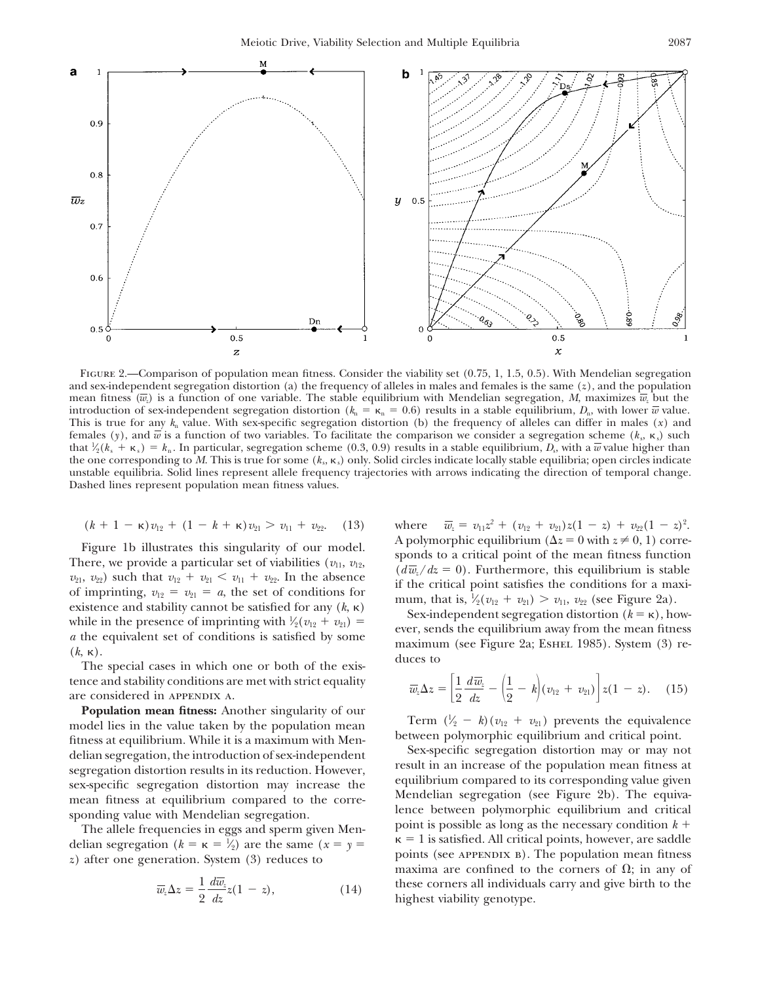

FIGURE 2.—Comparison of population mean fitness. Consider the viability set (0.75, 1, 1.5, 0.5). With Mendelian segregation and sex-independent segregation distortion (a) the frequency of alleles in males and females is the same (*z* ), and the population mean fitness  $(\overline{w}_z)$  is a function of one variable. The stable equilibrium with Mendelian segregation, *M*, maximizes  $\overline{w}_z$  but the introduction of sex-independent segregation distortion ( $k_n = \kappa_n = 0.6$ ) results in a stable equilibrium,  $D_n$ , with lower  $\overline{w}$  value. This is true for any  $k_n$  value. With sex-specific segregation distortion (b) the frequency of alleles can differ in males ( $x$ ) and females (y), and  $\overline{w}$  is a function of two variables. To facilitate the comparison we consider a segregation scheme ( $k_s$ ,  $\kappa_s$ ) such that  $\frac{1}{2}(k_s + \kappa_s) = k_n$ . In particular, segregation scheme (0.3, 0.9) results in a stable equilibrium, *D*<sub>s</sub>, with a  $\bar{w}$  value higher than ⁄ the one corresponding to *M*. This is true for some  $(k_s, \kappa_s)$  only. Solid circles indicate locally stable equilibria; open circles indicate unstable equilibria. Solid lines represent allele frequency trajectories with arrows indicating the direction of temporal change. Dashed lines represent population mean fitness values.

$$
(k+1-\kappa)v_{12} + (1-k+\kappa)v_{21} > v_{11} + v_{22}. \quad (13)
$$

of imprinting,  $v_{12} = v_{21} = a$ , the set of conditions for<br>existence and stability cannot be satisfied for any  $(k, \kappa)$ <br>existence and stability cannot be satisfied for any  $(k, \kappa)$ while in the presence of imprinting with  $\frac{1}{2}(v_{12} + v_{21}) =$  ever, sends the equilibrium away from the mean fitness **∕** 

The special cases in which one or both of the existence and stability conditions are met with strict equality  $\frac{1}{z}$ are considered in APPENDIX A.

**Population mean fitness:** Another singularity of our model lies in the value taken by the population mean Fitness at equilibrium. While it is a maximum with Mendelian segregation, the introduction of sex-independent<br>delian segregation, the introduction of sex-independent<br>segregation distortion results in its reduction. However sex-specific segregation distortion may increase the equinorum compared to its corresponding value given<br>mean fitness at equilibrium compared to the corre-<br>Mendelian segregation (see Figure 2b). The equiva-

delian segregation ( $k = \kappa = \frac{1}{2}$ ) are the same ( $x = y =$ **∕** 

$$
\overline{w}_z \Delta z = \frac{1}{2} \frac{d \overline{w}_z}{dz} z(1-z), \qquad (14)
$$

 $\nu_{21} > \nu_{11} + \nu_{22}.$  (13) where  $\overline{w}_z = \nu_{11}z^2 + (\nu_{12} + \nu_{21})z(1 - z) + \nu_{22}(1 - z)^2.$ Figure 1b illustrates this singularity of our model.<br>There, we provide a particular set of viabilities  $(v_{11}, v_{12},$ <br>  $v_{21}, v_{22})$  such that  $v_{12} + v_{21} < v_{11} + v_{22}$ . In the absence<br>
of imprinting,  $v_{12} = v_{21} = a$ , the se **∕** 

Sex-independent segregation distortion  $(k = \kappa)$ , how*a* the equivalent set of conditions is satisfied by some maximum (see Figure 2a; Eshel 1985). System (3) re-<br> $(k, \kappa)$ .

$$
\overline{w}_z \Delta z = \left[\frac{1}{2} \frac{d \overline{w}_z}{dz} - \left(\frac{1}{2} - k\right)(v_{12} + v_{21})\right] z(1 - z). \quad (15)
$$

Term  $(\frac{1}{2} - k)(v_{12} + v_{21})$  prevents the equivalence between polymorphic equilibrium and critical point.

sponding value with Mendelian segregation. lence between polymorphic equilibrium and critical sponding value with Mendelian segregation. The allele frequencies in eggs and sperm given Men-<br>point is possible as long as the necessary condition  $k +$ delian segregation  $(k = \kappa = \frac{1}{2})$  are the same  $(x = y)$  =  $\kappa = 1$  is satisfied. All critical points, however, are saddle  $\frac{1}{2}$  after one generation. System (3) reduces to *points* (see APPENDIX B). The population mean fitness maxima are confined to the corners of  $\Omega$ ; in any of these corners all individuals carry and give birth to the highest viability genotype.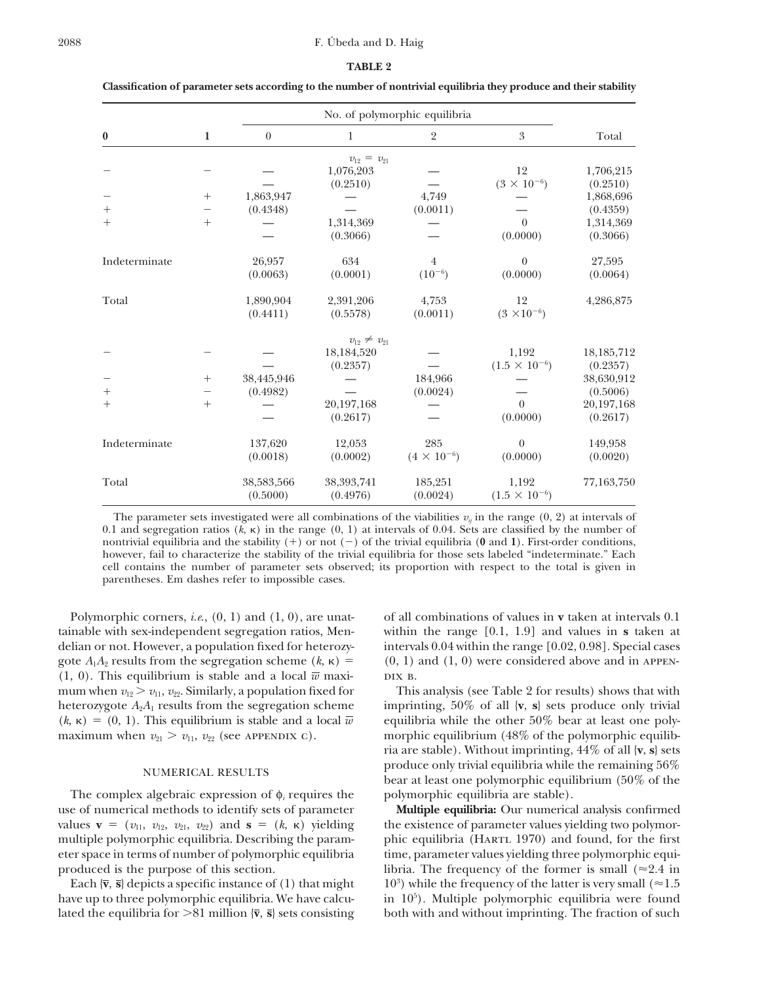## **TABLE 2**

|               |        |                        | No. of polymorphic equilibria |                      |                                 |              |
|---------------|--------|------------------------|-------------------------------|----------------------|---------------------------------|--------------|
| $\bf{0}$      | 1      | $\boldsymbol{0}$       | 1                             | $\overline{2}$       | 3                               | Total        |
|               |        |                        | $v_{12} = v_{21}$             |                      |                                 |              |
|               |        |                        | 1,076,203                     |                      | 12                              | 1,706,215    |
|               |        |                        | (0.2510)                      |                      | $(3 \times 10^{-6})$            | (0.2510)     |
|               | $^{+}$ | 1,863,947              |                               | 4,749                |                                 | 1,868,696    |
| $^{+}$        |        | (0.4348)               |                               | (0.0011)             |                                 | (0.4359)     |
| $+$           | $^{+}$ |                        | 1,314,369                     |                      | $\theta$                        | 1,314,369    |
|               |        |                        | (0.3066)                      |                      | (0.0000)                        | (0.3066)     |
| Indeterminate |        | 26,957                 | 634                           | $\overline{4}$       | $\theta$                        | 27,595       |
|               |        | (0.0063)               | (0.0001)                      | $(10^{-6})$          | (0.0000)                        | (0.0064)     |
| Total         |        | 1,890,904              | 2,391,206                     | 4,753                | 12                              | 4,286,875    |
|               |        | (0.4411)               | (0.5578)                      | (0.0011)             | $(3 \times 10^{-6})$            |              |
|               |        |                        | $v_{12} \neq v_{21}$          |                      |                                 |              |
|               |        |                        | 18,184,520                    |                      | 1,192                           | 18, 185, 712 |
|               |        |                        | (0.2357)                      |                      | $(1.5 \times 10^{-6})$          | (0.2357)     |
|               | $^{+}$ | 38,445,946             |                               | 184,966              |                                 | 38,630,912   |
| $^{+}$        |        | (0.4982)               |                               | (0.0024)             |                                 | (0.5006)     |
| $^{+}$        | $^{+}$ |                        | 20,197,168                    |                      | $\theta$                        | 20,197,168   |
|               |        |                        | (0.2617)                      |                      | (0.0000)                        | (0.2617)     |
| Indeterminate |        | 137,620                | 12,053                        | 285                  | $\theta$                        | 149,958      |
|               |        | (0.0018)               | (0.0002)                      | $(4 \times 10^{-6})$ | (0.0000)                        | (0.0020)     |
| Total         |        | 38,583,566<br>(0.5000) | 38, 393, 741<br>(0.4976)      | 185,251<br>(0.0024)  | 1,192<br>$(1.5 \times 10^{-6})$ | 77,163,750   |

**Classification of parameter sets according to the number of nontrivial equilibria they produce and their stability**

The parameter sets investigated were all combinations of the viabilities  $v_{ii}$  in the range (0, 2) at intervals of 0.1 and segregation ratios  $(k, \kappa)$  in the range  $(0, 1)$  at intervals of 0.04. Sets are classified by the number of nontrivial equilibria and the stability  $(+)$  or not  $(-)$  of the trivial equilibria (0 and 1). First-order conditions, however, fail to characterize the stability of the trivial equilibria for those sets labeled "indeterminate." Each cell contains the number of parameter sets observed; its proportion with respect to the total is given in parentheses. Em dashes refer to impossible cases.

gote  $A_1A_2$  results from the segregation scheme  $(k, \kappa)$  = (1, 0). This equilibrium is stable and a local  $\overline{w}$  maxi- DIX B. mum when  $v_{12} > v_{11}$ ,  $v_{22}$ . Similarly, a population fixed for This analysis (see Table 2 for results) shows that with heterozygote  $A_2A_1$  results from the segregation scheme imprinting, 50% of all  $\{v, s\}$  sets produce only trivial  $(k, \kappa) = (0, 1)$ . This equilibrium is stable and a local  $\overline{w}$ 

The complex algebraic expression of  $\phi_i$  requires the polymorphic equilibria are stable). use of numerical methods to identify sets of parameter **Multiple equilibria:** Our numerical analysis confirmed values  $\mathbf{v} = (v_{11}, v_{12}, v_{21}, v_{22})$  and  $\mathbf{s} = (k, \kappa)$  yielding the existence of parameter values yielding two polymormultiple polymorphic equilibria. Describing the param- phic equilibria (HARTL 1970) and found, for the first eter space in terms of number of polymorphic equilibria time, parameter values yielding three polymorphic equiproduced is the purpose of this section. libria. The frequency of the former is small ( $\approx$ 2.4 in

have up to three polymorphic equilibria. We have calculated the equilibria for  $>81$  million  $\{\bar{v}, \bar{s}\}$  sets consisting both with and without imprinting. The fraction of such

Polymorphic corners, *i.e.*, (0, 1) and (1, 0), are unat- of all combinations of values in **v** taken at intervals 0.1 tainable with sex-independent segregation ratios, Men- within the range [0.1, 1.9] and values in **s** taken at delian or not. However, a population fixed for heterozy- intervals 0.04 within the range [0.02, 0.98]. Special cases  $(0, 1)$  and  $(1, 0)$  were considered above and in APPEN-

equilibria while the other 50% bear at least one polymaximum when  $v_{21} > v_{11}$ ,  $v_{22}$  (see APPENDIX C). morphic equilibrium (48% of the polymorphic equilibria are stable). Without imprinting, 44% of all {**v**, **s**} sets produce only trivial equilibria while the remaining 56% NUMERICAL RESULTS bear at least one polymorphic equilibrium (50% of the

Each  ${\bar{\mathbf{v}}}$ ,  ${\bar{\mathbf{s}}}$  depicts a specific instance of (1) that might  $10^3$  while the frequency of the latter is very small ( $\approx$ 1.5) in  $10<sup>5</sup>$ ). Multiple polymorphic equilibria were found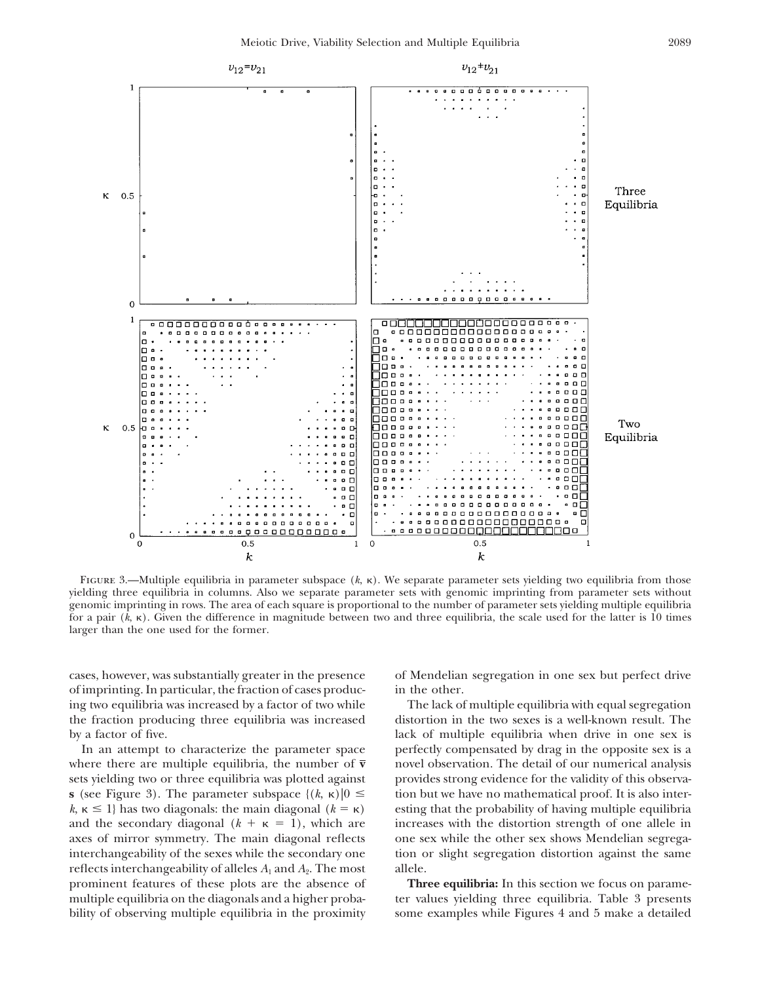

FIGURE 3.—Multiple equilibria in parameter subspace (*k*,  $\kappa$ ). We separate parameter sets yielding two equilibria from those yielding three equilibria in columns. Also we separate parameter sets with genomic imprinting from parameter sets without genomic imprinting in rows. The area of each square is proportional to the number of parameter sets yielding multiple equilibria for a pair ( $k$ ,  $\kappa$ ). Given the difference in magnitude between two and three equilibria, the scale used for the latter is 10 times larger than the one used for the former.

of imprinting. In particular, the fraction of cases produc- in the other. ing two equilibria was increased by a factor of two while The lack of multiple equilibria with equal segregation

where there are multiple equilibria, the number of  $\bar{v}$  novel observation. The detail of our numerical analysis sets yielding two or three equilibria was plotted against provides strong evidence for the validity of this observa**s** (see Figure 3). The parameter subspace  $\{(k, \kappa) | 0 \leq \kappa\}$  $k, \kappa \leq 1$ } has two diagonals: the main diagonal ( $k = \kappa$ and the secondary diagonal  $(k + \kappa = 1)$ , which are axes of mirror symmetry. The main diagonal reflects one sex while the other sex shows Mendelian segregainterchangeability of the sexes while the secondary one tion or slight segregation distortion against the same reflects interchangeability of alleles  $A_1$  and  $A_2$ . The most allele. prominent features of these plots are the absence of **Three equilibria:** In this section we focus on paramemultiple equilibria on the diagonals and a higher proba- ter values yielding three equilibria. Table 3 presents bility of observing multiple equilibria in the proximity some examples while Figures 4 and 5 make a detailed

cases, however, was substantially greater in the presence of Mendelian segregation in one sex but perfect drive

the fraction producing three equilibria was increased distortion in the two sexes is a well-known result. The by a factor of five. lack of multiple equilibria when drive in one sex is In an attempt to characterize the parameter space perfectly compensated by drag in the opposite sex is a tion but we have no mathematical proof. It is also inter-) esting that the probability of having multiple equilibria increases with the distortion strength of one allele in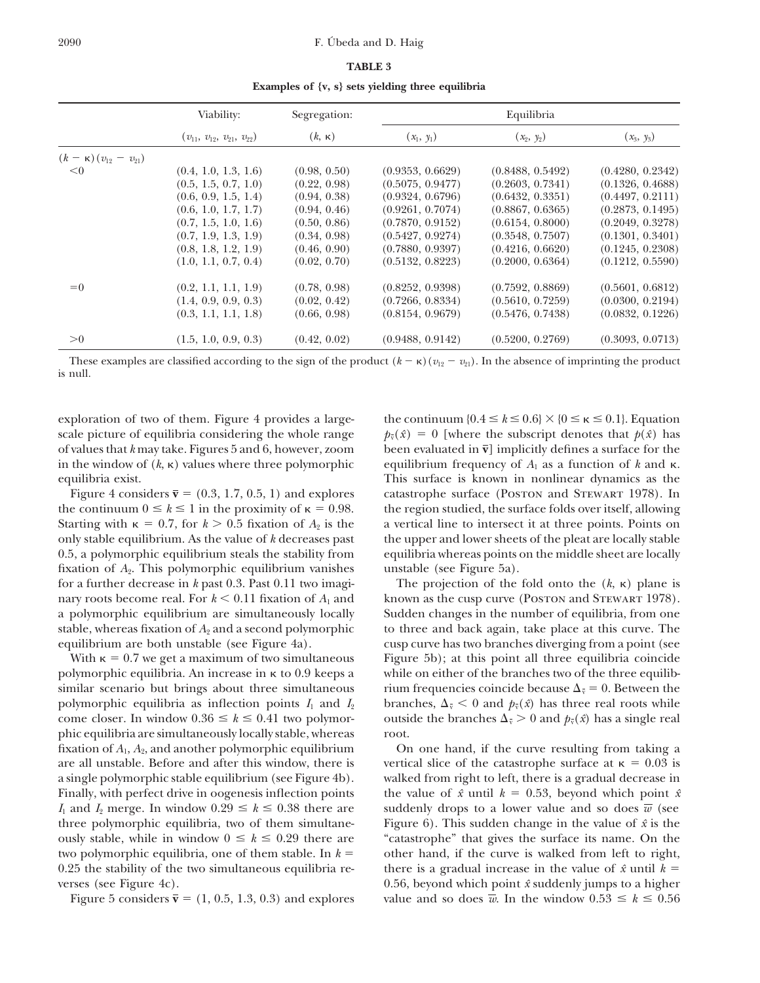### **TABLE 3**

**Examples of {v, s} sets yielding three equilibria**

|                                 | Viability:<br>$(v_{11}, v_{12}, v_{21}, v_{22})$ | Segregation:<br>$(k, \kappa)$ | Equilibria       |                  |                  |
|---------------------------------|--------------------------------------------------|-------------------------------|------------------|------------------|------------------|
|                                 |                                                  |                               | $(x_1, y_1)$     | $(x_2, y_2)$     | $(x_3, y_3)$     |
| $(k - \kappa)(v_{12} - v_{21})$ |                                                  |                               |                  |                  |                  |
| < 0                             | (0.4, 1.0, 1.3, 1.6)                             | (0.98, 0.50)                  | (0.9353, 0.6629) | (0.8488, 0.5492) | (0.4280, 0.2342) |
|                                 | (0.5, 1.5, 0.7, 1.0)                             | (0.22, 0.98)                  | (0.5075, 0.9477) | (0.2603, 0.7341) | (0.1326, 0.4688) |
|                                 | (0.6, 0.9, 1.5, 1.4)                             | (0.94, 0.38)                  | (0.9324, 0.6796) | (0.6432, 0.3351) | (0.4497, 0.2111) |
|                                 | (0.6, 1.0, 1.7, 1.7)                             | (0.94, 0.46)                  | (0.9261, 0.7074) | (0.8867, 0.6365) | (0.2873, 0.1495) |
|                                 | (0.7, 1.5, 1.0, 1.6)                             | (0.50, 0.86)                  | (0.7870, 0.9152) | (0.6154, 0.8000) | (0.2049, 0.3278) |
|                                 | (0.7, 1.9, 1.3, 1.9)                             | (0.34, 0.98)                  | (0.5427, 0.9274) | (0.3548, 0.7507) | (0.1301, 0.3401) |
|                                 | (0.8, 1.8, 1.2, 1.9)                             | (0.46, 0.90)                  | (0.7880, 0.9397) | (0.4216, 0.6620) | (0.1245, 0.2308) |
|                                 | (1.0, 1.1, 0.7, 0.4)                             | (0.02, 0.70)                  | (0.5132, 0.8223) | (0.2000, 0.6364) | (0.1212, 0.5590) |
| $= 0$                           | (0.2, 1.1, 1.1, 1.9)                             | (0.78, 0.98)                  | (0.8252, 0.9398) | (0.7592, 0.8869) | (0.5601, 0.6812) |
|                                 | (1.4, 0.9, 0.9, 0.3)                             | (0.02, 0.42)                  | (0.7266, 0.8334) | (0.5610, 0.7259) | (0.0300, 0.2194) |
|                                 | (0.3, 1.1, 1.1, 1.8)                             | (0.66, 0.98)                  | (0.8154, 0.9679) | (0.5476, 0.7438) | (0.0832, 0.1226) |
| >0                              | (1.5, 1.0, 0.9, 0.3)                             | (0.42, 0.02)                  | (0.9488, 0.9142) | (0.5200, 0.2769) | (0.3093, 0.0713) |

These examples are classified according to the sign of the product  $(k - \kappa)(v_{12} - v_{21})$ . In the absence of imprinting the product is null.

exploration of two of them. Figure 4 provides a largein the window of  $(k, \kappa)$  values where three polymorphic

the continuum  $0 \le k \le 1$  in the proximity of  $\kappa = 0.98$ . Starting with  $\kappa = 0.7$ , for  $k > 0.5$  fixation of  $A_2$  is the fixation of *A*2. This polymorphic equilibrium vanishes unstable (see Figure 5a). for a further decrease in *k* past 0.3. Past 0.11 two imaginary roots become real. For  $k < 0.11$  fixation of  $A_1$  and known as the cusp curve (Poston and Stewart 1978). a polymorphic equilibrium are simultaneously locally Sudden changes in the number of equilibria, from one equilibrium are both unstable (see Figure 4a). cusp curve has two branches diverging from a point (see

With  $\kappa = 0.7$  we get a maximum of two simultaneous polymorphic equilibria. An increase in  $\kappa$  to 0.9 keeps a similar scenario but brings about three simultaneous rium frequencies coincide because  $\Delta_{\bar{v}} = 0$ . Between the polymorphic equilibria as inflection points  $I_1$  and  $I_2$  branches,  $\Delta_{\bar{v}} < 0$  and  $p_{\bar{v}}(\hat{x})$  has three real roots while come closer. In window  $0.36 \le k \le 0.41$  two polymor- outside the branches  $\Delta_{\bar{v}} > 0$  and  $p_{\bar{v}}(\hat{x})$  has a single real phic equilibria are simultaneously locally stable, whereas root. fixation of *A*1, *A*2, and another polymorphic equilibrium On one hand, if the curve resulting from taking a are all unstable. Before and after this window, there is a single polymorphic stable equilibrium (see Figure 4b). walked from right to left, there is a gradual decrease in Finally, with perfect drive in oogenesis inflection points the value of  $\hat{x}$  until  $k = 0.53$ , beyond which point  $\hat{x}$ *I*<sub>1</sub> and *I*<sub>2</sub> merge. In window  $0.29 \le k \le 0.38$  there are suddenly drops to a lower value and so does  $\overline{w}$  (see three polymorphic equilibria, two of them simultane- Figure 6). This sudden change in the value of  $\hat{x}$  is the ously stable, while in window  $0 \le k \le 0.29$  there are "catastrophe" that gives the surface its name. On the two polymorphic equilibria, one of them stable. In  $k =$  other hand, if the curve is walked from left to right, 0.25 the stability of the two simultaneous equilibria re- there is a gradual increase in the value of  $\hat{x}$  until  $k =$ verses (see Figure 4c). 0.56, beyond which point *x*<sup>{</sup> suddenly jumps to a higher

 $\times$  {0  $\leq$   $\kappa$   $\leq$  0.1}. Equation scale picture of equilibria considering the whole range  $p_{\bar{v}}(\hat{x}) = 0$  [where the subscript denotes that  $p(\hat{x})$  has of values that *k* may take. Figures 5 and 6, however, zoom been evaluated in  $\bar{v}$ ] implicitly defines a surface for the ) values where three polymorphic equilibrium frequency of  $A_1$  as a function of  $k$  and  $\kappa$ . equilibria exist. This surface is known in nonlinear dynamics as the Figure 4 considers  $\bar{\mathbf{v}} = (0.3, 1.7, 0.5, 1)$  and explores catastrophe surface (Poston and Stewart 1978). In 0.98. the region studied, the surface folds over itself, allowing a vertical line to intersect it at three points. Points on only stable equilibrium. As the value of *k* decreases past the upper and lower sheets of the pleat are locally stable 0.5, a polymorphic equilibrium steals the stability from equilibria whereas points on the middle sheet are locally

The projection of the fold onto the  $(k, \kappa)$  plane is stable, whereas fixation of  $A_2$  and a second polymorphic to three and back again, take place at this curve. The Figure 5b); at this point all three equilibria coincide while on either of the branches two of the three equilib-

vertical slice of the catastrophe surface at  $\kappa = 0.03$  is Figure 5 considers  $\bar{v} = (1, 0.5, 1.3, 0.3)$  and explores value and so does  $\bar{w}$ . In the window  $0.53 \le k \le 0.56$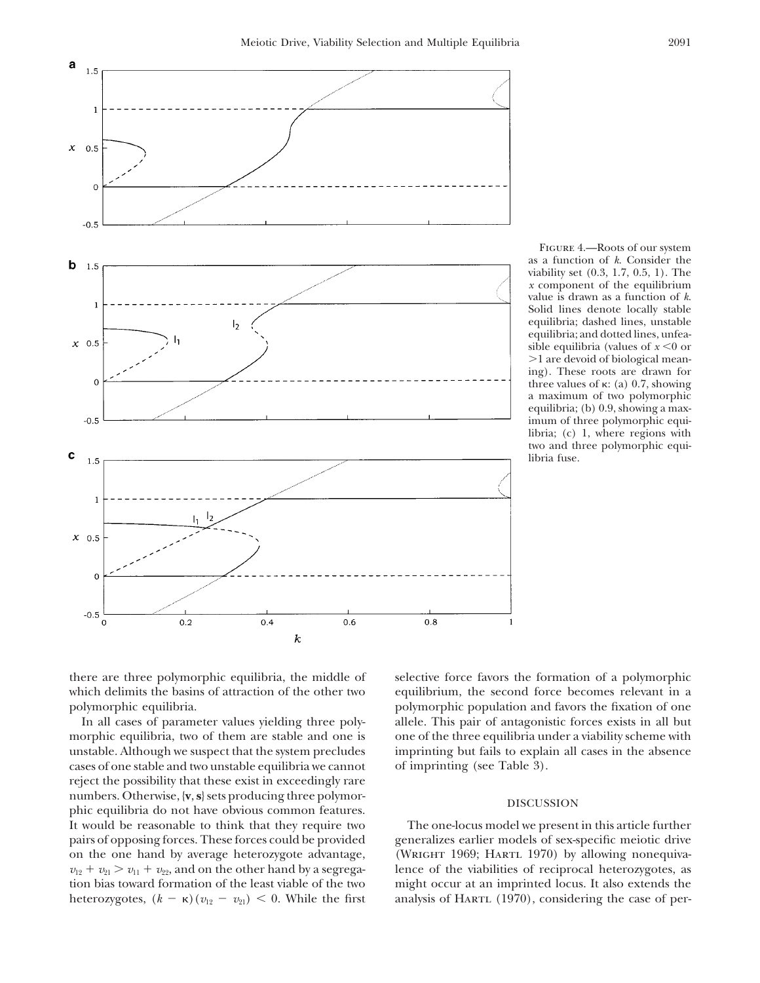

Figure 4.—Roots of our system as a function of *k*. Consider the viability set (0.3, 1.7, 0.5, 1). The *x* component of the equilibrium value is drawn as a function of *k*. Solid lines denote locally stable equilibria; dashed lines, unstable equilibria; and dotted lines, unfeasible equilibria (values of  $x \leq 0$  or 1 are devoid of biological meaning). These roots are drawn for three values of  $\kappa$ : (a) 0.7, showing a maximum of two polymorphic equilibria; (b) 0.9, showing a maximum of three polymorphic equilibria; (c) 1, where regions with two and three polymorphic equilibria fuse.

which delimits the basins of attraction of the other two equilibrium, the second force becomes relevant in a polymorphic equilibria. polymorphic population and favors the fixation of one

morphic equilibria, two of them are stable and one is one of the three equilibria under a viability scheme with unstable. Although we suspect that the system precludes imprinting but fails to explain all cases in the absence cases of one stable and two unstable equilibria we cannot of imprinting (see Table 3). reject the possibility that these exist in exceedingly rare numbers. Otherwise, {**v**, **s**} sets producing three polymor-<br>phic equilibria do not have obvious common features. DISCUSSION It would be reasonable to think that they require two The one-locus model we present in this article further pairs of opposing forces. These forces could be provided generalizes earlier models of sex-specific meiotic drive on the one hand by average heterozygote advantage, (WRIGHT 1969; HARTL 1970) by allowing nonequiva $v_{12} + v_{21} > v_{11} + v_{22}$ , and on the other hand by a segrega- lence of the viabilities of reciprocal heterozygotes, as tion bias toward formation of the least viable of the two might occur at an imprinted locus. It also extends the heterozygotes,  $(k - \kappa)(v_{12} - v_{21}) < 0$ . While the first

there are three polymorphic equilibria, the middle of selective force favors the formation of a polymorphic In all cases of parameter values yielding three poly- allele. This pair of antagonistic forces exists in all but

analysis of HARTL (1970), considering the case of per-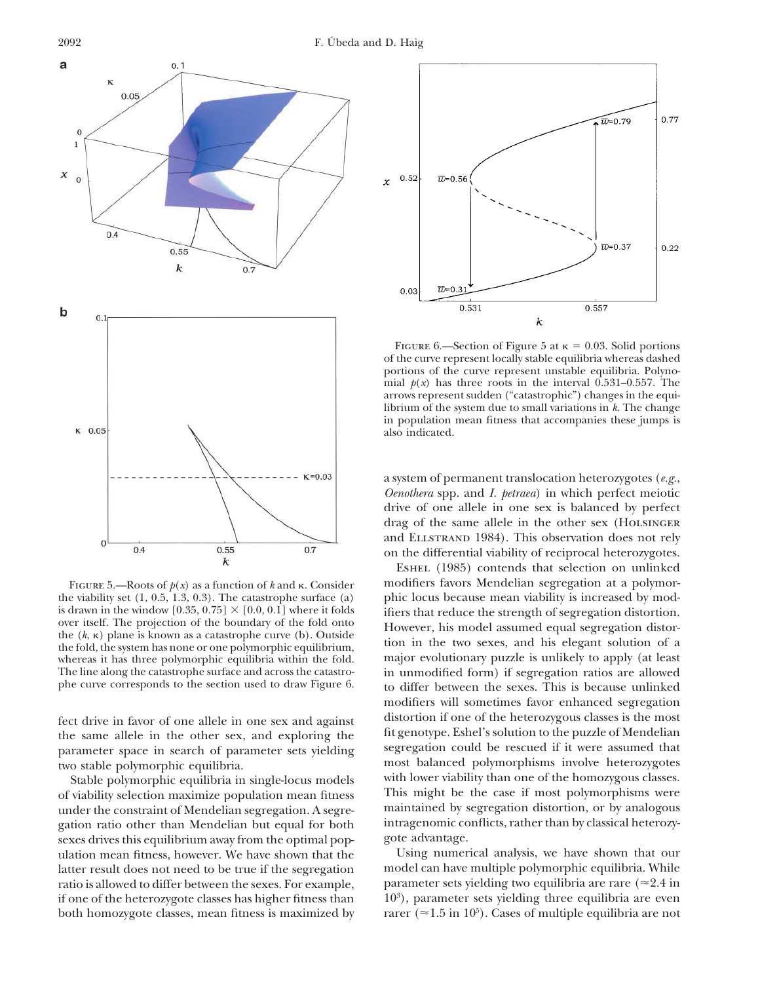

FIGURE 5.—Roots of  $p(x)$  as a function of *k* and *k*. Consider the viability set (1, 0.5, 1.3, 0.3). The catastrophe surface (a) is drawn in the window  $[0.35, 0.75] \times [0.0, 0.1]$  where it folds over itself. The projection of the boundary of the fold onto

parameter space in search of parameter sets yielding

gation ratio other than Mendelian but equal for both sexes drives this equilibrium away from the optimal pop-<br>ulation mean fitness, however. We have shown that the Using numerical analysis, we have shown that our ulation mean fitness, however. We have shown that the latter result does not need to be true if the segregation model can have multiple polymorphic equilibria. While ratio is allowed to differ between the sexes. For example, parameter sets yielding two equilibria are rare ( $\approx$ 2.4 in if one of the heterozygote classes has higher fitness than  $10<sup>3</sup>$ , parameter sets yielding three equilibria are even both homozygote classes, mean fitness is maximized by



FIGURE 6.—Section of Figure 5 at  $\kappa = 0.03$ . Solid portions of the curve represent locally stable equilibria whereas dashed portions of the curve represent unstable equilibria. Polynomial  $p(x)$  has three roots in the interval 0.531–0.557. The arrows represent sudden ("catastrophic") changes in the equilibrium of the system due to small variations in *k*. The change in population mean fitness that accompanies these jumps is also indicated.

a system of permanent translocation heterozygotes (*e.g.*, *Oenothera* spp. and *I. petraea*) in which perfect meiotic drive of one allele in one sex is balanced by perfect drag of the same allele in the other sex (HOLSINGER and ELLSTRAND 1984). This observation does not rely on the differential viability of reciprocal heterozygotes.

Eshel (1985) contends that selection on unlinked modifiers favors Mendelian segregation at a polymorphic locus because mean viability is increased by mod-(d) is drawn in the window  $[0.35, 0.75] \times [0.0, 0.1]$  where it folds ifiers that reduce the strength of segregation distortion.<br>over itself. The projection of the boundary of the fold onto However, his model assumed equal the  $(n, k)$  plane is known as a catastrophe curve  $(b)$ . Outside tion in the two sexes, and his elegant solution of a the fold, the system has none or one polymorphic equilibrium, whereas it has three polymorphic equilibria within the fold. major evolutionary puzzle is unlikely to apply (at least The line along the catastrophe surface and across the catastro-<br>
in unmodified form) if segregation ratios are allowed<br>
to differ between the sexes. This is because unlinked to differ between the sexes. This is because unlinked modifiers will sometimes favor enhanced segregation fect drive in favor of one allele in one sex and against distortion if one of the heterozygous classes is the most<br>the same allele in the other sex and exploring the fit genotype. Eshel's solution to the puzzle of Mendelia the same allele in the other sex, and exploring the fit genotype. Eshel's solution to the puzzle of Mendelian<br>parameter space in search of parameter sets yielding segregation could be rescued if it were assumed that most balanced polymorphisms involve heterozygotes two stable polymorphic equilibria. Stable polymorphic equilibria in single-locus models with lower viability than one of the homozygous classes.<br>in wiability selection maximize population mean fitness and this might be the case if most polymorphisms were of viability selection maximize population mean fitness This might be the case if most polymorphisms were<br>under the constraint of Mendelian segregation. A segregation distortion, or by analogous under the constraint of Mendelian segregation. A segre-<br>
gation can distortion, or by analogous<br>
gation ratio other than Mendelian but equal for both intragenomic conflicts, rather than by classical heterozy-

rarer ( $\approx$ 1.5 in 10<sup>5</sup>). Cases of multiple equilibria are not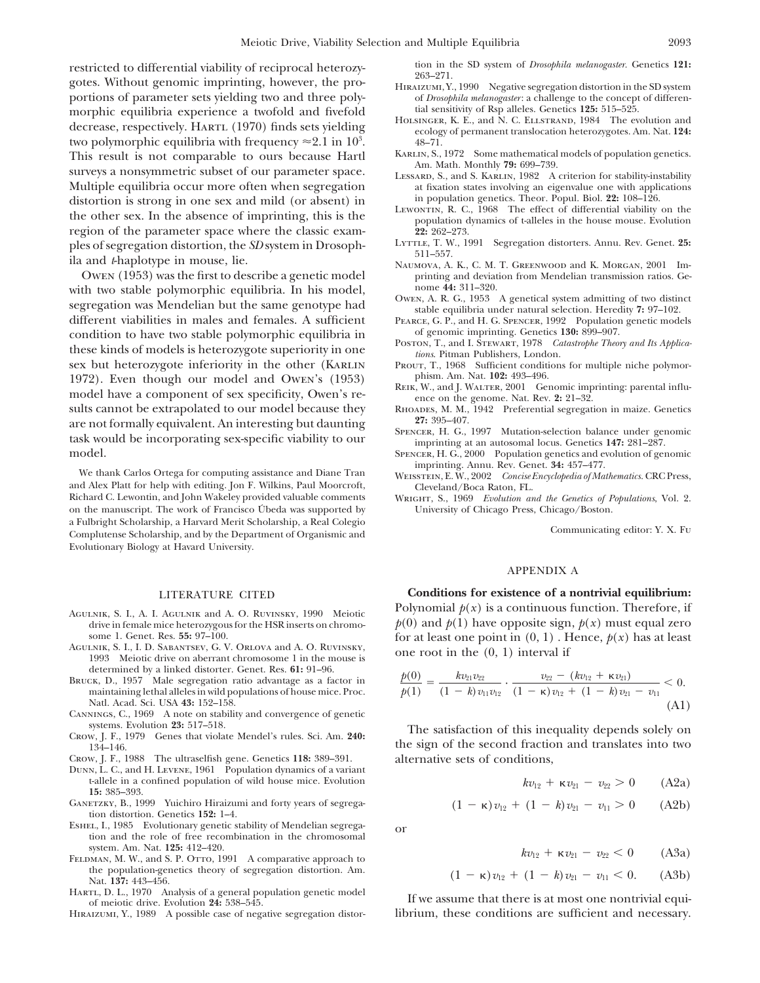restricted to differential viability of reciprocal heterozy-<br>gotes. Without genomic imprinting, however, the pro-<br>portions of parameter sets yielding two and three poly-<br>portions of parameter sets yielding two and three po morphic equilibria experience a twofold and fivefold tial sensitivity of Rsp alleles. Genetics 125: 515–525.<br>HOLSINGER, K. E., and N. C. ELLSTRAND, 1984 The evolution and decrease, respectively. HARTL (1970) finds sets yielding  $\frac{100 \text{m} \cdot \text{C}}{48-71}$ . E., and N. C. ELLSTRAND, 1984 The evolution and translocation heterozygotes. Am. Nat. 124: two polymorphic equilibria with frequency  $\approx 2.1$  in  $10^3$ .  $\hspace{1cm}$  48–71. This result is not comparable to ours because Hartl KARLIN, S., 1972 Some mathematical models of population genetics.<br>Am. Math. Monthly 79: 699-739. Surveys a nonsymmetric subset of our parameter space.<br>Multiple equilibria occur more often when segregation<br>at fixation states involving an eigenvalue one with applications Multiple equilibria occur more often when segregation at fixation states involving an eigenvalue one with application is strong in one sov and mild (or absort) in in population senetics. Theor. Popul. Biol. 22: 108-126. distortion is strong in one sex and mild (or absent) in<br>the other sex. In the absence of imprinting, this is the<br>region of the parameter space where the classic exam-<br>22: 962-273. region of the parameter space where the classic exam-<br>nles of secregation distortion the SD system in Drosoph-<br>LYTTLE, T. W., 1991 Segregation distorters. Annu. Rev. Genet. 25: ples of segregation distortion, the *SD* system in Drosoph-<br>
ila and *t*-haplotype in mouse, lie.<br>
OWEN (1953) was the first to describe a genetic model<br>
OWEN (1953) was the first to describe a genetic model<br>
OWEN (1953) w

OWEN (1953) was the first to describe a genetic model printing and deviate the two stable polymorphic equilibria. In his model nome 44: 311–320. with two stable polymorphic equilibria. In his model,<br>Owen, A. R. G., 1953 A genetical system admitting of two distinct OWEN, A. C., 1953 A generical system admitting of two distinct system admitting of two distinct system admitstration of the equilibria under natural selection. Heredity **7:** 97–102.<br>different viabilities in males and femal condition to have two stable polymorphic equilibria in these kinds of models is heterozygote superiority in one<br>sex but heterozygote inferiority in the other (KARLIN PROUT, T., 1968 Sufficient conditions for multiple niche sex but heterozygote inferiority in the other (KARLIN PROUT, T., 1968 Sufficient conditions for multiple niche polymor-<br>1972). Even though our model and Owen's (1953) phism. Am. Nat. 102: 493–496. 1972). Even though our model and OWEN's (1953) phism. Am. Nat. 102: 493–496.<br>model have a component of sex specificity, Owen's re-<br>model have a component of sex specificity, Owen's re-<br>ence on the genome. Nat. Rev. 2: 21–3 sults cannot be extrapolated to our model because they RHOADES, M. M., 1942 Preferential segregation in maize. Genetics are not formally equivalent. An interesting but daunting 27: 395–407. are not formally equivalent. An interesting but daunting<br>task would be incorporating sex-specific viability to our<br>moral sprinting at an autosomal locus. Genetics 147: 281–287.<br>Sprincipa at an autosomal locus. Genetics 147

We thank Carlos Ortega for computing assistance and Diane Tran Weisstein, E. W., 2002 *Concise Encyclopedia of Mathematics*. CRC Press, and Alex Platt for help with editing. Jon F. Wilkins, Paul Moorcroft, Cleveland/Boca R and Alex Platt for help with editing. Jon F. Wilkins, Paul Moorcroft, Richard C. Lewontin, and John Wakeley provided valuable comments on the manuscript. The work of Francisco Úbeda was supported by a Fulbright Scholarship, a Harvard Merit Scholarship, a Real Colegio Communicating editor: Y. X. Fu Complutense Scholarship, and by the Department of Organismic and Evolutionary Biology at Havard University.

- 
- determined by a linked distorter. Genet. Res. **61:** 91–96.
- BRUCK, D., 1957 Male segregation ratio advantage as a factor in maintaining lethal alleles in wild populations of house mice. Proc.<br>Natl. Acad. Sci. USA 43: 152-158.
- CANNINGS, C., 1969 A note on stability and convergence of genetic systems. Evolution 23: 517–518.
- 
- CROW, J. F., 1988 The ultraselfish gene. Genetics 118: 389–391.
- Dunn, L. C., and H. Levene, 1961 Population dynamics of a variant t-allele in a confined population of wild house mice. Evolution *kv*<sub>12</sub> +  $v_{21} - v_{22} > 0$  (A2a) **15:** 385–393.
- GANETZKY, B., 1999 Yuichiro Hiraizumi and forty years of segrega-<br>
(1 k)  $v_{12} + (1 k)v_{21} v_{11} > 0$  (A2b)<br>
(a) tion distortion. Genetics 152: 1–4.
- Eshel, I., 1985 Evolutionary genetic stability of Mendelian segrega- or tion and the role of free recombination in the chromosomal
- system. Am. Nat. **125:** 412–420. *Am.* Nat. **125:** 412–420. *kv*<sub>12</sub> + *kv*<sub>21</sub> *v*<sub>22</sub> < 0 (A3a) *kv*<sub>12</sub> + *kv*<sub>21</sub> *v*<sub>22</sub> < 0 (A3a) the population-genetics theory of segregation distortion. Am.  $(1 - \kappa)v_{12} + (1 - k)v_{21} - v_{11} < 0.$  (A3b) Nat. **137:** 443–456.
- 
- HIRAIZUMI, Y., 1989 A possible case of negative segregation distor-

- of *Drosophila melanogaster*: a challenge to the concept of differential sensitivity of Rsp alleles. Genetics 125: 515-525.
- 
- 
- 
- 
- 
- 
- 
- PEARCE, G. P., and H. G. SPENCER, 1992 Population genetic models<br>of genomic imprinting. Genetics 130: 899-907.
- 
- 
- 
- 
- 
- SPENCER, H. G., 2000 Population genetics and evolution of genomic imprinting. Annu. Rev. Genet. **34:** 457–477.
- 
- WRIGHT, S., 1969 *Evolution and the Genetics of Populations*, Vol. 2.<br>University of Chicago Press, Chicago/Boston.

### APPENDIX A

LITERATURE CITED **Conditions for existence of a nontrivial equilibrium:** AGULNIK, S. I., A. I. AGULNIK and A. O. RUVINSKY, 1990 Meiotic  $\begin{array}{c} \text{Polynomial } p(x) \text{ is a continuous function. Therefore, if} \\ \text{drive in female mice heterozygous for the HSR inserts on chromosome} \end{array}$   $\begin{array}{c} \text{Polynomial } p(x) \text{ is a continuous function.} \end{array}$  Therefore, if  $p(0)$  and  $p(1)$  have opposite sign,  $p(x)$  must equal zero some 1. Genet. Res. 55: 97–100.<br>
AGULNIK, S. I., I. D. SABANTSEV, G. V. ORLOVA and A. O. RUVINSKY,<br>
1993 Meiotic drive on aberrant chromosome 1 in the mouse is one root in the  $(0, 1)$  interval if

$$
\frac{p(0)}{p(1)} = \frac{k v_{21} v_{22}}{(1-k) v_{11} v_{12}} \cdot \frac{v_{22} - (k v_{12} + \kappa v_{21})}{(1-\kappa) v_{12} + (1-k) v_{21} - v_{11}} < 0.
$$
\n(A1)

systems. Evolution **23:** 517–518.<br>Crow, J. F., 1979 Genes that violate Mendel's rules. Sci. Am. **240:**<br>The satisfaction of this inequality depends solely on 134–146.<br>
134–146.<br>
W. J. F., 1988 The ultraselfish gene. Genetics 118: 389–391. alternative sets of conditions,

$$
kv_{12} + \kappa v_{21} - v_{22} > 0 \qquad (A2a)
$$

$$
(1 - \kappa) v_{12} + (1 - k) v_{21} - v_{11} > 0 \qquad (A2b)
$$

$$
kv_{12} + \kappa v_{21} - v_{22} < 0 \quad (A3a)
$$

$$
(1 - \kappa)v_{12} + (1 - k)v_{21} - v_{11} < 0. \tag{A3b}
$$

HARTL, D. L., 1970 Analysis of a general population genetic model<br>of meiotic drive. Evolution **24:** 538–545.<br>HIRAIZUMI, Y., 1989 A possible case of negative segregation distor-<br>librium, these conditions are sufficient and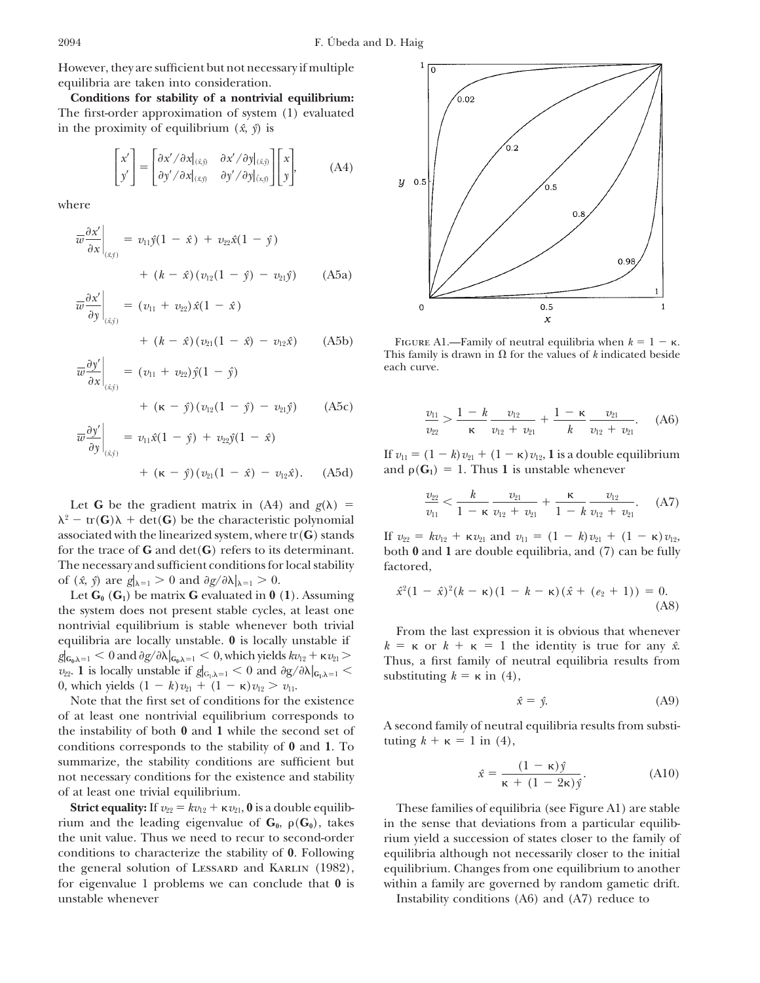However, they are sufficient but not necessary if multiple equilibria are taken into consideration.

**Conditions for stability of a nontrivial equilibrium:** The first-order approximation of system (1) evaluated in the proximity of equilibrium  $(\hat{x}, \hat{y})$  is

$$
\begin{bmatrix} x' \\ y' \end{bmatrix} = \begin{bmatrix} \frac{\partial x'}{\partial x} \Big|_{(x,y)} & \frac{\partial x'}{\partial y} \Big|_{(x,y)} \\ \frac{\partial y'}{\partial x} \Big|_{(x,y)} & \frac{\partial y'}{\partial y} \Big|_{(x,y)} \end{bmatrix} \begin{bmatrix} x \\ y \end{bmatrix}, \tag{A4}
$$

where

$$
\overline{w} \frac{\partial x'}{\partial x}\Big|_{(\hat{x},\hat{y})} = v_{11}\hat{y}(1-\hat{x}) + v_{22}\hat{x}(1-\hat{y})
$$
  
+ 
$$
(k-\hat{x})(v_{12}(1-\hat{y}) - v_{21}\hat{y})
$$
 (A5a)

$$
\left. \frac{\partial x'}{\partial y} \right|_{(\hat{x}, \hat{y})} = (v_{11} + v_{22}) \hat{x} (1 - \hat{x})
$$
  
+  $(b - \hat{x}) (v_{11} (1 - \hat{x}) - v_{12} \hat{x})$  (45b)

$$
\left.\overline{w}\frac{\partial y'}{\partial x}\right|_{(\hat{x},\hat{y})} = (v_{11} + v_{22})\hat{y}(1 - \hat{y})
$$
 This family each curve.

+ 
$$
(\kappa - \hat{y}) (v_{12}(1 - \hat{y}) - v_{21}\hat{y})
$$
 (A5c)  $v_{11}$ 

$$
\overline{w} \frac{\partial y'}{\partial y}\Big|_{(\hat{x},\hat{y})} = v_{11}\hat{x}(1-\hat{y}) + v_{22}\hat{y}(1-\hat{x})
$$
  
+  $(\kappa - \hat{y})(v_{21}(1-\hat{x}) - v_{12}\hat{x}).$  (A5d)

Let **G** be the gradient matrix in (A4) and  $g(\lambda)$  =  $\lambda^2$  – tr(**G**) $\lambda$  + det(**G**) be the characteristic polynomial associated with the linearized system, where  $tr(G)$  stands for the trace of **G** and  $det(G)$  refers to its determinant. The necessary and sufficient conditions for local stability factored, of  $(\hat{x}, \hat{y})$  are  $g|_{\lambda=1} > 0$  and  $\partial g/\partial \lambda|_{\lambda=1} > 0$ .<br>
Let **G**<sub>0</sub> (**G**<sub>1</sub>) be matrix **G** evaluated in **0** (1). Assuming  $\hat{x}^2$ 

Let  $\mathbf{G}_0$  ( $\mathbf{G}_1$ ) be matrix **G** evaluated in **0** (1). Assuming  $\hat{x}^2(1 - \hat{x})^2(k - \kappa)(1 - k - \kappa)(\hat{x} + (e_2 + 1)) = 0.$  (A8) the system does not present stable cycles, at least one nontrivial equilibrium is stable whenever both trivial From the last expression it is obvious that whenever equilibria are locally unstable. **0** is locally unstable if  $k = \kappa$  or  $k + \kappa = 1$  the identity is true for any  $\$ equilibria are locally unstable. 0 is locally unstable if  $g|_{G_0\lambda=1} < 0$  and  $\frac{\partial g}{\partial b_0\lambda=1} < 0$ , which yields  $kv_{12} + kv_{21} >$  Thus, a first family of neutral equilibria results from  $v_{22}$ . **1** is locally unstable if  $g|_{G_1,\lambda=1} < 0$  and  $\frac{\partial g}{\partial \lambda}|_{G_1,\lambda=1} <$  substituting  $k = \kappa$  in (4),  $i_{22}$ . **i** is locally different B<sub>IG<sub>1</sub> $\lambda$ =1  $\rightarrow$  0 and og/  $\sigma$ <sub>1</sub> $G$ <sub>1</sub> $\lambda$ =1  $\rightarrow$  substituting  $k = \kappa$  in (4), 0, which yields  $(1 - k)v_{21} + (1 - \kappa)v_{12} > v_{11}$ .</sub>

Note that the first set of conditions for the existence of at least one nontrivial equilibrium corresponds to A second family of neutral equilibria results from substi- the instability of both **<sup>0</sup>** and **<sup>1</sup>** while the second set of 1 in (4), conditions corresponds to the stability of **<sup>0</sup>** and **<sup>1</sup>**. To summarize, the stability conditions are sufficient but <br>not necessary conditions for the existence and stability  $\hat{x} = \frac{(1 - \kappa)\hat{y}}{\kappa + (1 - 2\kappa)\hat{y}}$ . (A10) of at least one trivial equilibrium.

**Strict equality:** If  $v_{22} = kv_{12} + \kappa v_{21}$ , **0** is a double equilibrium and the leading eigenvalue of  $\mathbf{G}_0$ ,  $\rho(\mathbf{G}_0)$ , takes in the sense that deviations from a particular equilibthe unit value. Thus we need to recur to second-order rium yield a succession of states closer to the family of conditions to characterize the stability of **0**. Following equilibria although not necessarily closer to the initial the general solution of LESSARD and KARLIN (1982), equilibrium. Changes from one equilibrium to another for eigenvalue 1 problems we can conclude that **0** is within a family are governed by random gametic drift. unstable whenever Instability conditions (A6) and (A7) reduce to



 $+(k - \hat{x})(v_{21}(1 - \hat{x}) - v_{12}\hat{x})$  (A5b) FIGURE A1.—Family of neutral equilibria when  $k = 1 - \kappa$ . This family is drawn in  $\Omega$  for the values of *k* indicated beside each curve.

$$
\frac{v_{11}}{v_{22}} > \frac{1-k}{\kappa} \frac{v_{12}}{v_{12} + v_{21}} + \frac{1-\kappa}{k} \frac{v_{21}}{v_{12} + v_{21}}.
$$
 (A6)

If  $v_{11} = (1 - k)v_{21} + (1 - \kappa)v_{12}$ , **1** is a double equilibrium and  $\rho(\mathbf{G}_1) = 1$ . Thus 1 is unstable whenever

$$
\frac{v_{22}}{v_{11}} < \frac{k}{1 - \kappa} \frac{v_{21}}{v_{12} + v_{21}} + \frac{\kappa}{1 - k} \frac{v_{12}}{v_{12} + v_{21}}. \tag{A7}
$$

 $v_{21}$  and  $v_{11} = (1 - k)v_{21} + (1 - \kappa)v_{12}$ , both  $\theta$  and  $1$  are double equilibria, and (7) can be fully

$$
\hat{x}^{2}(1-\hat{x})^{2}(k-\kappa)(1-k-\kappa)(\hat{x}+(e_{2}+1))=0.
$$
\n(A8)

$$
\hat{x} = \hat{y}.\tag{A9}
$$

tuting  $k + \kappa = 1$  in (4),

$$
\hat{\mathbf{x}} = \frac{(1 - \kappa)\hat{\mathbf{y}}}{\kappa + (1 - 2\kappa)\hat{\mathbf{y}}}.
$$
 (A10)

These families of equilibria (see Figure A1) are stable